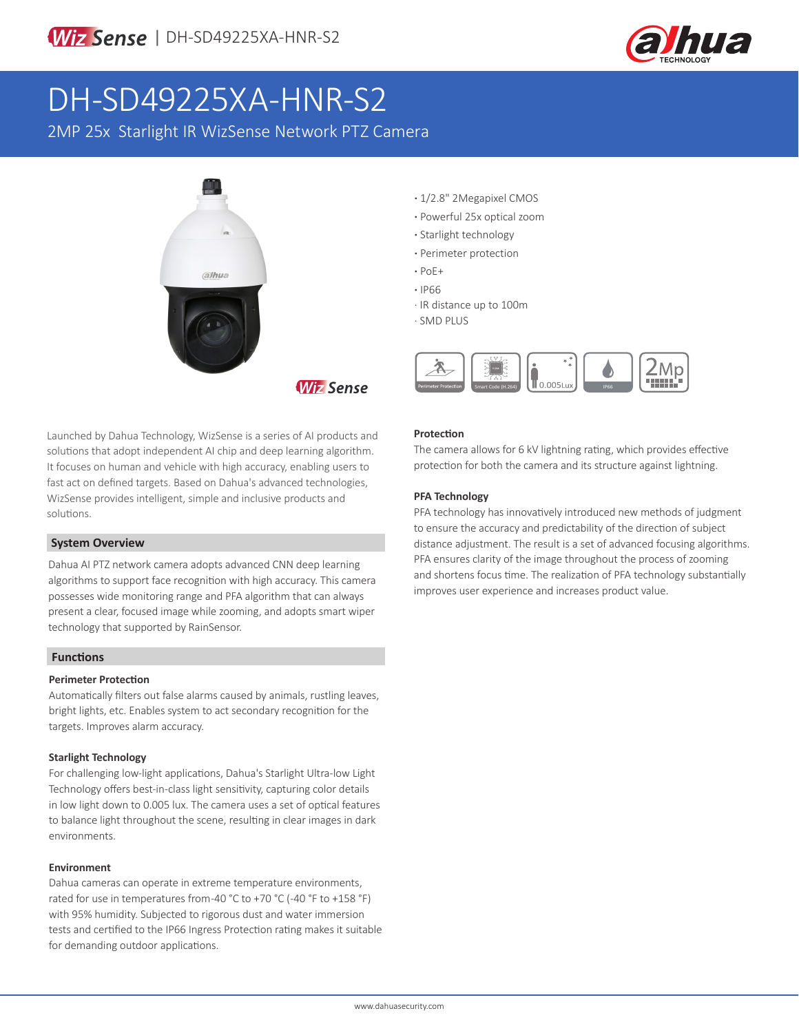

# DH-SD49225XA-HNR-S2

2MP 25x Starlight IR WizSense Network PTZ Camera



**·** 1/2.8" 2Megapixel CMOS

- **·** Powerful 25x optical zoom
- **·** Starlight technology
- **·** Perimeter protection
- **·** PoE+
- **·** IP66
- · IR distance up to 100m
- · SMD PLUS



Launched by Dahua Technology, WizSense is a series of AI products and solutions that adopt independent AI chip and deep learning algorithm. It focuses on human and vehicle with high accuracy, enabling users to fast act on defined targets. Based on Dahua's advanced technologies, WizSense provides intelligent, simple and inclusive products and solutions.

### **System Overview**

Dahua AI PTZ network camera adopts advanced CNN deep learning algorithms to support face recognition with high accuracy. This camera possesses wide monitoring range and PFA algorithm that can always present a clear, focused image while zooming, and adopts smart wiper technology that supported by RainSensor.

### **Functions**

### **Perimeter Protection**

Automatically filters out false alarms caused by animals, rustling leaves, bright lights, etc. Enables system to act secondary recognition for the targets. Improves alarm accuracy.

### **Starlight Technology**

For challenging low-light applications, Dahua's Starlight Ultra-low Light Technology offers best-in-class light sensitivity, capturing color details in low light down to 0.005 lux. The camera uses a set of optical features to balance light throughout the scene, resulting in clear images in dark environments.

### **Environment**

Dahua cameras can operate in extreme temperature environments, rated for use in temperatures from -40 °C to +70 °C (-40 °F to +158 °F) with 95% humidity. Subjected to rigorous dust and water immersion tests and certified to the IP66 Ingress Protection rating makes it suitable for demanding outdoor applications.

# **Protection**

The camera allows for 6 kV lightning rating, which provides effective protection for both the camera and its structure against lightning.

# **PFA Technology**

PFA technology has innovatively introduced new methods of judgment to ensure the accuracy and predictability of the direction of subject distance adjustment. The result is a set of advanced focusing algorithms. PFA ensures clarity of the image throughout the process of zooming and shortens focus time. The realization of PFA technology substantially improves user experience and increases product value.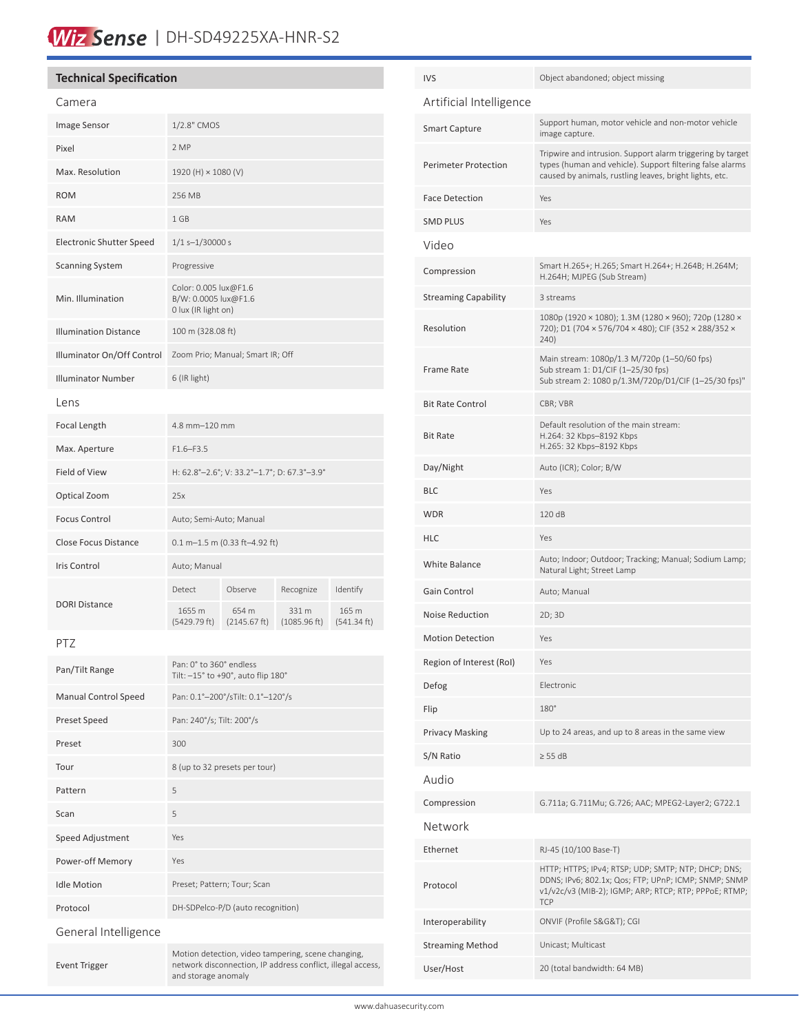# Wiz Sense | DH-SD49225XA-HNR-S2

| <b>Technical Specification</b>  |                                                                      |                                             |              |             | <b>IVS</b>                  | Object abandoned; object missing                                                                                                          |  |
|---------------------------------|----------------------------------------------------------------------|---------------------------------------------|--------------|-------------|-----------------------------|-------------------------------------------------------------------------------------------------------------------------------------------|--|
| Camera                          |                                                                      |                                             |              |             | Artificial Intelligence     |                                                                                                                                           |  |
| Image Sensor                    | 1/2.8" CMOS                                                          |                                             |              |             | <b>Smart Capture</b>        | Support human, motor vehicle and non-motor vehicle<br>image capture.                                                                      |  |
| Pixel                           | 2 MP                                                                 |                                             |              |             |                             | Tripwire and intrusion. Support alarm triggering by target                                                                                |  |
| Max. Resolution                 | 1920 (H) × 1080 (V)                                                  |                                             |              |             | <b>Perimeter Protection</b> | types (human and vehicle). Support filtering false alarms<br>caused by animals, rustling leaves, bright lights, etc.                      |  |
| <b>ROM</b>                      | 256 MB                                                               |                                             |              |             | <b>Face Detection</b>       | Yes                                                                                                                                       |  |
| <b>RAM</b>                      | 1 GB                                                                 |                                             |              |             | <b>SMD PLUS</b>             | Yes                                                                                                                                       |  |
| <b>Electronic Shutter Speed</b> | $1/1$ s-1/30000 s                                                    |                                             |              |             | Video                       |                                                                                                                                           |  |
| <b>Scanning System</b>          | Progressive                                                          |                                             |              |             | Compression                 | Smart H.265+; H.265; Smart H.264+; H.264B; H.264M;<br>H.264H; MJPEG (Sub Stream)                                                          |  |
| Min. Illumination               | Color: 0.005 lux@F1.6<br>B/W: 0.0005 lux@F1.6<br>0 lux (IR light on) |                                             |              |             | <b>Streaming Capability</b> | 3 streams                                                                                                                                 |  |
| <b>Illumination Distance</b>    | 100 m (328.08 ft)                                                    |                                             |              |             | Resolution                  | 1080p (1920 × 1080); 1.3M (1280 × 960); 720p (1280 ×<br>720); D1 (704 × 576/704 × 480); CIF (352 × 288/352 ×<br>240)                      |  |
| Illuminator On/Off Control      |                                                                      | Zoom Prio; Manual; Smart IR; Off            |              |             |                             | Main stream: 1080p/1.3 M/720p (1-50/60 fps)<br>Sub stream 1: D1/CIF (1-25/30 fps)<br>Sub stream 2: 1080 p/1.3M/720p/D1/CIF (1-25/30 fps)" |  |
| <b>Illuminator Number</b>       | 6 (IR light)                                                         |                                             |              |             | <b>Frame Rate</b>           |                                                                                                                                           |  |
| Lens                            |                                                                      |                                             |              |             | <b>Bit Rate Control</b>     | CBR; VBR                                                                                                                                  |  |
| Focal Length<br>Max. Aperture   | 4.8 mm-120 mm<br>$F1.6 - F3.5$                                       |                                             |              |             | <b>Bit Rate</b>             | Default resolution of the main stream:<br>H.264: 32 Kbps-8192 Kbps<br>H.265: 32 Kbps-8192 Kbps                                            |  |
| Field of View                   |                                                                      | H: 62.8°-2.6°; V: 33.2°-1.7°; D: 67.3°-3.9° |              |             | Day/Night                   | Auto (ICR); Color; B/W                                                                                                                    |  |
| Optical Zoom                    | 25x                                                                  |                                             |              |             | <b>BLC</b>                  | Yes                                                                                                                                       |  |
| <b>Focus Control</b>            | Auto; Semi-Auto; Manual                                              |                                             |              |             | <b>WDR</b>                  | 120 dB                                                                                                                                    |  |
| Close Focus Distance            | $0.1 m - 1.5 m (0.33 ft - 4.92 ft)$                                  |                                             |              |             | <b>HLC</b>                  | Yes                                                                                                                                       |  |
| <b>Iris Control</b>             | Auto; Manual                                                         |                                             |              |             | White Balance               | Auto; Indoor; Outdoor; Tracking; Manual; Sodium Lamp;<br>Natural Light; Street Lamp                                                       |  |
|                                 | Detect                                                               | Observe                                     | Recognize    | Identify    | Gain Control                | Auto; Manual                                                                                                                              |  |
| <b>DORI Distance</b>            | 1655 m                                                               | 654 m                                       | 331 m        | 165 m       | Noise Reduction             | 2D; 3D                                                                                                                                    |  |
|                                 | (5429.79 ft)                                                         | (2145.67 ft)                                | (1085.96 ft) | (541.34 ft) | <b>Motion Detection</b>     | Yes                                                                                                                                       |  |
| PTZ<br>Pan: 0° to 360° endless  |                                                                      |                                             |              |             | Region of Interest (RoI)    | Yes                                                                                                                                       |  |
| Pan/Tilt Range                  |                                                                      | Tilt: -15° to +90°, auto flip 180°          |              |             | Defog                       | Electronic                                                                                                                                |  |
| <b>Manual Control Speed</b>     |                                                                      | Pan: 0.1°-200°/sTilt: 0.1°-120°/s           |              |             | Flip                        | 180°                                                                                                                                      |  |
| Preset Speed                    | Pan: 240°/s; Tilt: 200°/s                                            |                                             |              |             | <b>Privacy Masking</b>      | Up to 24 areas, and up to 8 areas in the same view                                                                                        |  |
| Preset                          | 300                                                                  |                                             |              |             | S/N Ratio                   | $\geq$ 55 dB                                                                                                                              |  |
| Tour                            |                                                                      | 8 (up to 32 presets per tour)               |              |             | Audio                       |                                                                                                                                           |  |
| Pattern                         | 5                                                                    |                                             |              |             | Compression                 | G.711a; G.711Mu; G.726; AAC; MPEG2-Layer2; G722.1                                                                                         |  |
| Scan                            | 5                                                                    |                                             |              |             | Network                     |                                                                                                                                           |  |
| Speed Adjustment                | Yes                                                                  |                                             |              |             | Ethernet                    | RJ-45 (10/100 Base-T)                                                                                                                     |  |
| Power-off Memory                | Yes                                                                  |                                             |              |             |                             | HTTP; HTTPS; IPv4; RTSP; UDP; SMTP; NTP; DHCP; DNS;                                                                                       |  |
| <b>Idle Motion</b>              |                                                                      | Preset; Pattern; Tour; Scan                 |              |             | Protocol                    | DDNS; IPv6; 802.1x; Qos; FTP; UPnP; ICMP; SNMP; SNMP<br>v1/v2c/v3 (MIB-2); IGMP; ARP; RTCP; RTP; PPPoE; RTMP;<br><b>TCP</b>               |  |
| Protocol                        |                                                                      | DH-SDPelco-P/D (auto recognition)           |              |             | Interoperability            | ONVIF (Profile S&G&T); CGI                                                                                                                |  |
| General Intelligence            |                                                                      |                                             |              |             | <b>Streaming Method</b>     | Unicast; Multicast                                                                                                                        |  |

Event Trigger

User/Host 20 (total bandwidth: 64 MB)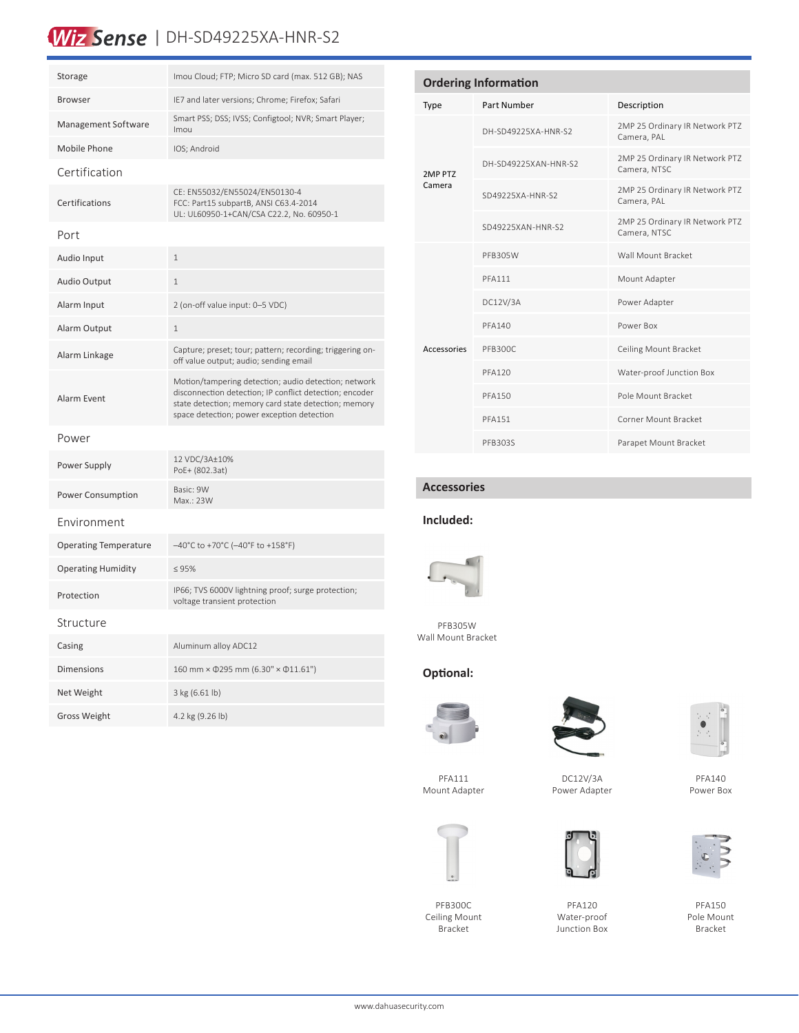# Wiz Sense | DH-SD49225XA-HNR-S2

| Storage                      | Imou Cloud; FTP; Micro SD card (max. 512 GB); NAS                                                                                                                                                                     |  |  |  |  |  |
|------------------------------|-----------------------------------------------------------------------------------------------------------------------------------------------------------------------------------------------------------------------|--|--|--|--|--|
| <b>Browser</b>               | IE7 and later versions; Chrome; Firefox; Safari                                                                                                                                                                       |  |  |  |  |  |
| <b>Management Software</b>   | Smart PSS; DSS; IVSS; Configtool; NVR; Smart Player;<br>Imou                                                                                                                                                          |  |  |  |  |  |
| Mobile Phone                 | IOS; Android                                                                                                                                                                                                          |  |  |  |  |  |
| Certification                |                                                                                                                                                                                                                       |  |  |  |  |  |
| Certifications               | CE: EN55032/EN55024/EN50130-4<br>FCC: Part15 subpartB, ANSI C63.4-2014<br>UL: UL60950-1+CAN/CSA C22.2, No. 60950-1                                                                                                    |  |  |  |  |  |
| Port                         |                                                                                                                                                                                                                       |  |  |  |  |  |
| Audio Input                  | $\mathbf{1}$                                                                                                                                                                                                          |  |  |  |  |  |
| <b>Audio Output</b>          | 1                                                                                                                                                                                                                     |  |  |  |  |  |
| Alarm Input                  | 2 (on-off value input: 0-5 VDC)                                                                                                                                                                                       |  |  |  |  |  |
| Alarm Output                 | $\mathbf{1}$                                                                                                                                                                                                          |  |  |  |  |  |
| Alarm Linkage                | Capture; preset; tour; pattern; recording; triggering on-<br>off value output; audio; sending email                                                                                                                   |  |  |  |  |  |
| Alarm Event                  | Motion/tampering detection; audio detection; network<br>disconnection detection; IP conflict detection; encoder<br>state detection; memory card state detection; memory<br>space detection; power exception detection |  |  |  |  |  |
| Power                        |                                                                                                                                                                                                                       |  |  |  |  |  |
| Power Supply                 | 12 VDC/3A±10%<br>PoE+ (802.3at)                                                                                                                                                                                       |  |  |  |  |  |
| <b>Power Consumption</b>     | Basic: 9W<br>Max.: 23W                                                                                                                                                                                                |  |  |  |  |  |
| Environment                  |                                                                                                                                                                                                                       |  |  |  |  |  |
| <b>Operating Temperature</b> | $-40^{\circ}$ C to +70 $^{\circ}$ C (-40 $^{\circ}$ F to +158 $^{\circ}$ F)                                                                                                                                           |  |  |  |  |  |
| <b>Operating Humidity</b>    | $\leq 95\%$                                                                                                                                                                                                           |  |  |  |  |  |
| Protection                   | IP66; TVS 6000V lightning proof; surge protection;<br>voltage transient protection                                                                                                                                    |  |  |  |  |  |
| Structure                    |                                                                                                                                                                                                                       |  |  |  |  |  |
| Casing                       | Aluminum alloy ADC12                                                                                                                                                                                                  |  |  |  |  |  |
| <b>Dimensions</b>            | 160 mm × 0295 mm (6.30" × 011.61")                                                                                                                                                                                    |  |  |  |  |  |
| Net Weight                   | $3 \text{ kg} (6.61 \text{ lb})$                                                                                                                                                                                      |  |  |  |  |  |
| <b>Gross Weight</b>          | 4.2 kg (9.26 lb)                                                                                                                                                                                                      |  |  |  |  |  |

| <b>Ordering Information</b> |                      |                                                |  |  |  |  |  |
|-----------------------------|----------------------|------------------------------------------------|--|--|--|--|--|
| <b>Type</b>                 | Part Number          | Description                                    |  |  |  |  |  |
| 2MP PTZ<br>Camera           | DH-SD49225XA-HNR-S2  | 2MP 25 Ordinary IR Network PTZ<br>Camera, PAL  |  |  |  |  |  |
|                             | DH-SD49225XAN-HNR-S2 | 2MP 25 Ordinary IR Network PTZ<br>Camera, NTSC |  |  |  |  |  |
|                             | SD49225XA-HNR-S2     | 2MP 25 Ordinary IR Network PTZ<br>Camera, PAL  |  |  |  |  |  |
|                             | SD49225XAN-HNR-S2    | 2MP 25 Ordinary IR Network PTZ<br>Camera, NTSC |  |  |  |  |  |
| Accessories                 | PFB305W              | Wall Mount Bracket                             |  |  |  |  |  |
|                             | <b>PFA111</b>        | Mount Adapter                                  |  |  |  |  |  |
|                             | DC12V/3A             | Power Adapter                                  |  |  |  |  |  |
|                             | <b>PFA140</b>        | Power Box                                      |  |  |  |  |  |
|                             | PFB300C              | Ceiling Mount Bracket                          |  |  |  |  |  |
|                             | <b>PFA120</b>        | Water-proof Junction Box                       |  |  |  |  |  |
|                             | <b>PFA150</b>        | Pole Mount Bracket                             |  |  |  |  |  |
|                             | <b>PFA151</b>        | Corner Mount Bracket                           |  |  |  |  |  |
|                             | PFB303S              | Parapet Mount Bracket                          |  |  |  |  |  |

# **Accessories**

### **Included:**



PFB305W Wall Mount Bracket

# **Optional:**





DC12V/3A Power Adapter



PFA120



PFA140 Power Box



PFA150 Pole Mount Bracket

PFA111 Mount Adapter

PFB300C Ceiling Mount Bracket

www.dahuasecurity.com







Water-proof Junction Box